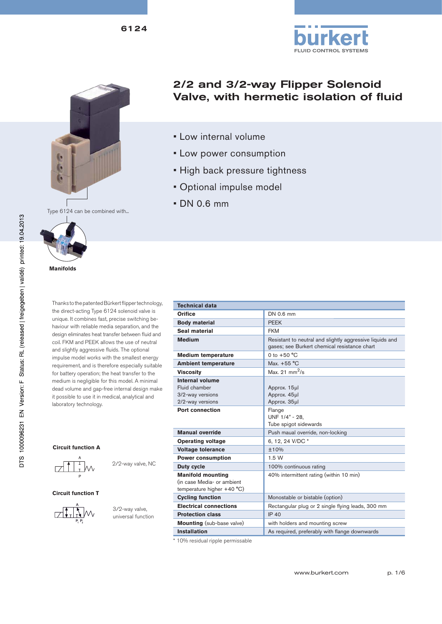





**Manifolds**

Thanks to the patented Bürkert flipper technology, the direct-acting Type 6124 solenoid valve is unique. It combines fast, precise switching behaviour with reliable media separation, and the design eliminates heat transfer between fluid and coil. FKM and PEEK allows the use of neutral and slightly aggressive fluids. The optional impulse model works with the smallest energy requirement, and is therefore especially suitable for battery operation; the heat transfer to the medium is negligible for this model. A minimal dead volume and gap-free internal design make it possible to use it in medical, analytical and laboratory technology.

#### **Circuit function A**



2/2-way valve, NC

#### **Circuit function T**



3/2-way valve, universal function

|  | 2/2 and 3/2-way Flipper Solenoid        |  |
|--|-----------------------------------------|--|
|  | Valve, with hermetic isolation of fluid |  |

- Low internal volume
- Low power consumption
- High back pressure tightness
- Optional impulse model
- DN 0.6 mm

| <b>Technical data</b>                                                                              |                                                                                                          |  |  |  |  |
|----------------------------------------------------------------------------------------------------|----------------------------------------------------------------------------------------------------------|--|--|--|--|
| Orifice                                                                                            | DN 0.6 mm                                                                                                |  |  |  |  |
| <b>Body material</b>                                                                               | <b>PEEK</b>                                                                                              |  |  |  |  |
| Seal material                                                                                      | <b>FKM</b>                                                                                               |  |  |  |  |
| <b>Medium</b>                                                                                      | Resistant to neutral and slightly aggressive liquids and<br>gases; see Burkert chemical resistance chart |  |  |  |  |
| <b>Medium temperature</b>                                                                          | 0 to $+50 °C$                                                                                            |  |  |  |  |
| <b>Ambient temperature</b>                                                                         | Max. +55 °C                                                                                              |  |  |  |  |
| <b>Viscosity</b>                                                                                   | Max. 21 $mm^2$ /s                                                                                        |  |  |  |  |
| Internal volume<br>Fluid chamber<br>3/2-way versions<br>2/2-way versions<br><b>Port connection</b> | Approx. 15µl<br>Approx. 45µl<br>Approx. 35µl<br>Flange                                                   |  |  |  |  |
|                                                                                                    | UNF 1/4" - 28.<br>Tube spigot sidewards                                                                  |  |  |  |  |
| <b>Manual override</b>                                                                             | Push maual override, non-locking                                                                         |  |  |  |  |
| <b>Operating voltage</b>                                                                           | 6, 12, 24 V/DC *                                                                                         |  |  |  |  |
| <b>Voltage tolerance</b>                                                                           | ±10%                                                                                                     |  |  |  |  |
| <b>Power consumption</b>                                                                           | 1.5W                                                                                                     |  |  |  |  |
| <b>Duty cycle</b>                                                                                  | 100% continuous rating                                                                                   |  |  |  |  |
| <b>Manifold mounting</b><br>(in case Media- or ambient<br>temperature higher $+40 °C$ )            | 40% intermittent rating (within 10 min)                                                                  |  |  |  |  |
| <b>Cycling function</b>                                                                            | Monostable or bistable (option)                                                                          |  |  |  |  |
| <b>Electrical connections</b>                                                                      | Rectangular plug or 2 single flying leads, 300 mm                                                        |  |  |  |  |
| <b>Protection class</b>                                                                            | IP 40                                                                                                    |  |  |  |  |
| <b>Mounting</b> (sub-base valve)                                                                   | with holders and mounting screw                                                                          |  |  |  |  |
| <b>Installation</b>                                                                                | As required, preferably with flange downwards                                                            |  |  |  |  |

\* 10% residual ripple permissable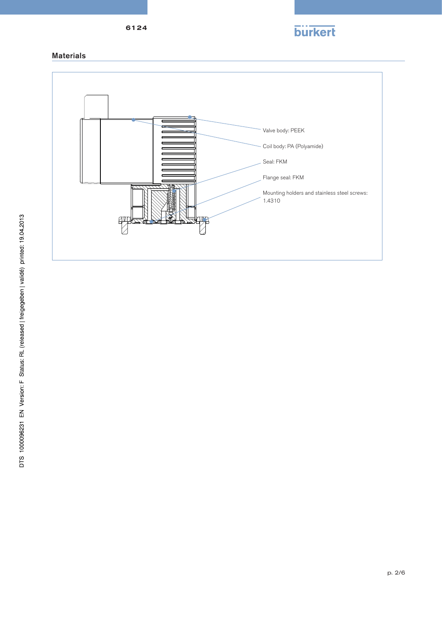

Materials

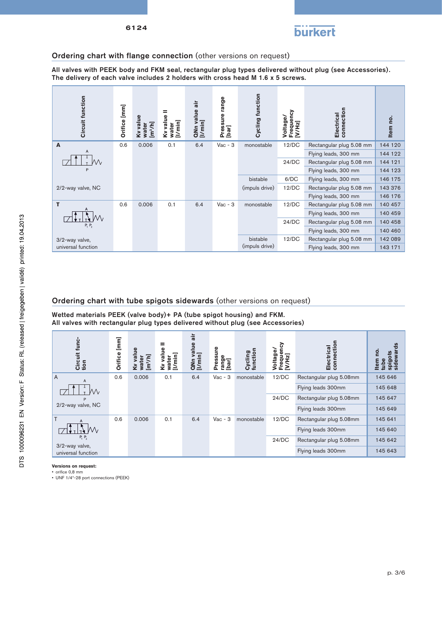

## Ordering chart with flange connection (other versions on request)

All valves with PEEK body and FKM seal, rectangular plug types delivered without plug (see Accessories). The delivery of each valve includes 2 holders with cross head M 1.6 x 5 screws.

| Circuit function   | Orifice [mm] | Kv value<br>[m <sup>3</sup> /h]<br>water | =<br>Ky value<br>[Vmin]<br>water | air<br>QNn value<br>[I/min] | range<br>Pressure ।<br>[bar] | <b>Cycling function</b> | Frequency<br>[V/Hz]<br><b>Joltage/</b> | connection<br>Electrical | Item no. |
|--------------------|--------------|------------------------------------------|----------------------------------|-----------------------------|------------------------------|-------------------------|----------------------------------------|--------------------------|----------|
| A                  | 0.6          | 0.006                                    | 0.1                              | 6.4                         | $Vac - 3$                    | monostable              | 12/DC                                  | Rectangular plug 5.08 mm | 144 120  |
| Α                  |              |                                          |                                  |                             |                              |                         |                                        | Flying leads, 300 mm     | 144 122  |
|                    |              |                                          |                                  |                             |                              |                         | 24/DC                                  | Rectangular plug 5.08 mm | 144 121  |
| P                  |              |                                          |                                  |                             |                              |                         |                                        | Flying leads, 300 mm     | 144 123  |
|                    |              |                                          |                                  |                             |                              | bistable                | 6/DC                                   | Flying leads, 300 mm     | 146 175  |
| 2/2-way valve, NC  |              |                                          |                                  |                             |                              | (impuls drive)          | 12/DC                                  | Rectangular plug 5.08 mm | 143 376  |
|                    |              |                                          |                                  |                             |                              |                         |                                        | Flying leads, 300 mm     | 146 176  |
| т                  | 0.6          | 0.006                                    | 0.1                              | 6.4                         | $Vac - 3$                    | monostable              | 12/DC                                  | Rectangular plug 5.08 mm | 140 457  |
|                    |              |                                          |                                  |                             |                              |                         |                                        | Flying leads, 300 mm     | 140 459  |
| $P_1 P_2$          |              |                                          |                                  |                             |                              |                         | 24/DC                                  | Rectangular plug 5.08 mm | 140 458  |
|                    |              |                                          |                                  |                             |                              |                         |                                        | Flying leads, 300 mm     | 140 460  |
| 3/2-way valve,     |              |                                          |                                  |                             |                              | bistable                | 12/DC                                  | Rectangular plug 5.08 mm | 142 089  |
| universal function |              |                                          |                                  |                             |                              | (impuls drive)          |                                        | Flying leads, 300 mm     | 143 171  |

## Ordering chart with tube spigots sidewards (other versions on request)

Wetted materials PEEK (valve body)+ PA (tube spigot housing) and FKM. All valves with rectangular plug types delivered without plug (see Accessories)

| func-<br>Circuit<br>tion             | Orifice [mm] | value<br>[m <sup>3</sup> /h]<br>water<br>₹ | =<br>value<br>water<br>[I/min]<br>Š | air<br>QNn value<br>[I/min] | gл<br>ressi<br>range<br>[bar]<br>n | function<br>Cycling | ency<br>မ္တ<br>š<br>$\mathbf{F}$<br>ā<br>ರ<br>ق<br>E<br>ğ<br>⋗ | connection<br>Electrical | rds<br>ρó<br>ots<br>ewa<br>ε |
|--------------------------------------|--------------|--------------------------------------------|-------------------------------------|-----------------------------|------------------------------------|---------------------|----------------------------------------------------------------|--------------------------|------------------------------|
| $\overline{A}$<br>Α                  | 0.6          | 0.006                                      | 0.1                                 | 6.4                         | $Vac - 3$                          | monostable          | 12/DC                                                          | Rectangular plug 5.08mm  | 145 646                      |
|                                      |              |                                            |                                     |                             |                                    |                     |                                                                | Flying leads 300mm       | 145 648                      |
| D                                    |              |                                            |                                     |                             |                                    |                     | 24/DC                                                          | Rectangular plug 5.08mm  | 145 647                      |
| 2/2-way valve, NC                    |              |                                            |                                     |                             |                                    |                     |                                                                | Flying leads 300mm       | 145 649                      |
| $\mathsf{T}$                         | 0.6          | 0.006                                      | 0.1                                 | 6.4                         | $Vac - 3$                          | monostable          | 12/DC                                                          | Rectangular plug 5.08mm  | 145 641                      |
|                                      |              |                                            |                                     |                             |                                    |                     |                                                                | Flying leads 300mm       | 145 640                      |
| $P_1 P_2$                            |              |                                            |                                     |                             |                                    |                     | 24/DC                                                          | Rectangular plug 5.08mm  | 145 642                      |
| 3/2-way valve,<br>universal function |              |                                            |                                     |                             |                                    |                     |                                                                | Flying leads 300mm       | 145 643                      |

**Versions on request:**

 $•$  orifice 0,8 mm

• UNF 1/4"-28 port connections (PEEK)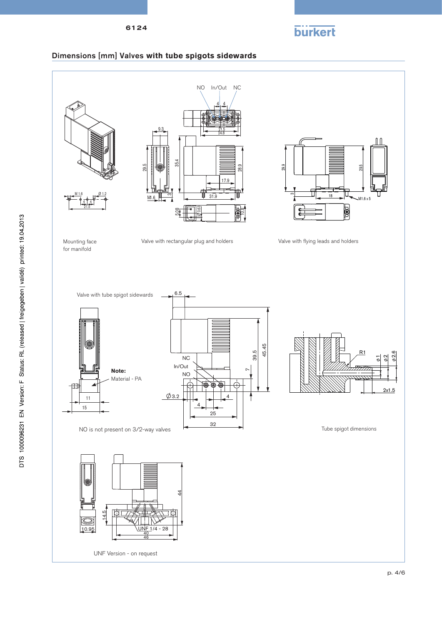6124



## Dimensions [mm] Valves with tube spigots sidewards

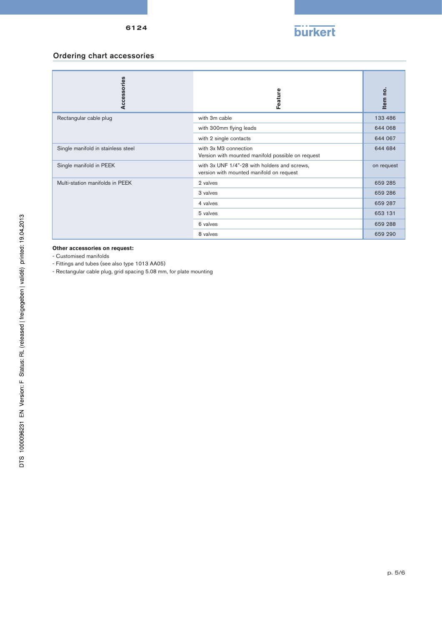

# Ordering chart accessories

| Accessories                        | Feature                                                                                  | Item no.   |
|------------------------------------|------------------------------------------------------------------------------------------|------------|
| Rectangular cable plug             | with 3m cable                                                                            | 133 486    |
|                                    | with 300mm flying leads                                                                  | 644 068    |
|                                    | with 2 single contacts                                                                   | 644 067    |
| Single manifold in stainless steel | with 3x M3 connection<br>Version with mounted manifold possible on request               | 644 684    |
| Single manifold in PEEK            | with 3x UNF 1/4"-28 with holders and screws,<br>version with mounted manifold on request | on request |
| Multi-station manifolds in PEEK    | 2 valves                                                                                 | 659 285    |
|                                    | 3 valves                                                                                 | 659 286    |
|                                    | 4 valves                                                                                 | 659 287    |
|                                    | 5 valves                                                                                 | 653 131    |
|                                    | 6 valves                                                                                 | 659 288    |
|                                    | 8 valves                                                                                 | 659 290    |

### **Other accessories on request:**

- Customised manifolds

- Fittings and tubes (see also type 1013 AA05)

- Rectangular cable plug, grid spacing 5.08 mm, for plate mounting